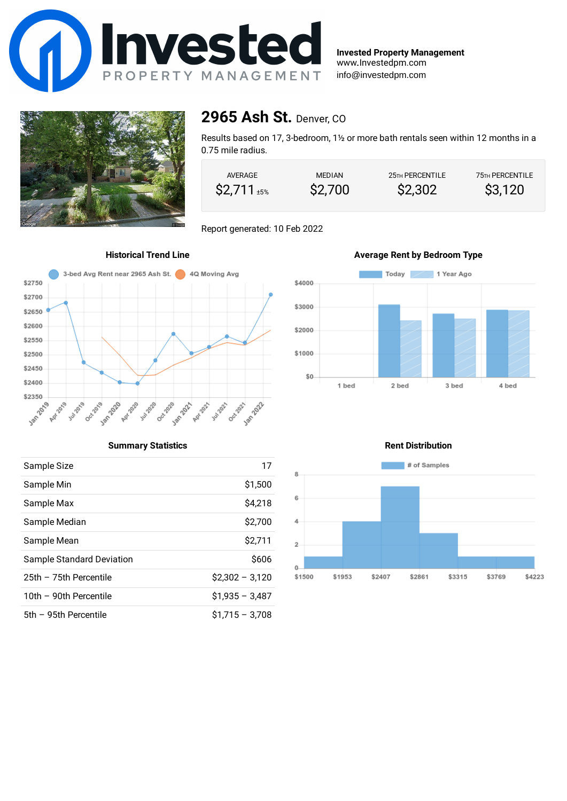

**Invested Property Management** www.Investedpm.com info@investedpm.com



### **2965 Ash St.** Denver, CO

Results based on 17, 3-bedroom, 1½ or more bath rentals seen within 12 months in a 0.75 mile radius.

| AVERAGE             | <b>MEDIAN</b> | 25 <sub>TH</sub> PERCENTILE | <b>75TH PERCENTILE</b> |
|---------------------|---------------|-----------------------------|------------------------|
| $\$2,711_{\pm 5\%}$ | \$2,700       | \$2,302                     | \$3,120                |

Report generated: 10 Feb 2022





### **Summary Statistics**

| Sample Size               | 17               |
|---------------------------|------------------|
| Sample Min                | \$1,500          |
| Sample Max                | \$4,218          |
| Sample Median             | \$2,700          |
| Sample Mean               | \$2.711          |
| Sample Standard Deviation | \$606            |
| 25th - 75th Percentile    | $$2.302 - 3.120$ |
| 10th - 90th Percentile    | $$1,935 - 3,487$ |
| 5th - 95th Percentile     | $$1,715 - 3,708$ |

### **Rent Distribution**

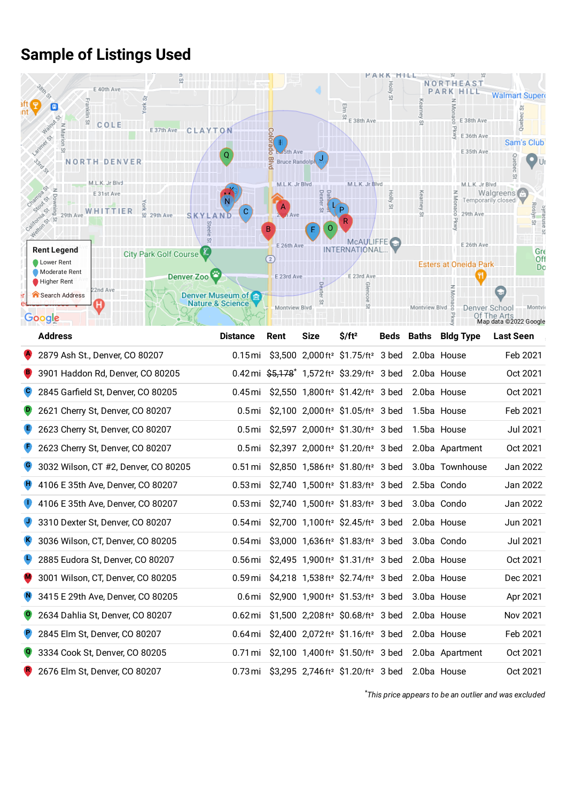## **Sample of Listings Used**



| <b>Address</b>                       | <b>Distance</b> | Rent | <b>Size</b> | $$/ft^2$$                                                                       |  | <b>Beds Baths Bldg Type</b> | <b>Last Seen</b> |
|--------------------------------------|-----------------|------|-------------|---------------------------------------------------------------------------------|--|-----------------------------|------------------|
| 2879 Ash St., Denver, CO 80207       | $0.15$ mi       |      |             | \$3,500 2,000 ft <sup>2</sup> \$1.75/ft <sup>2</sup> 3 bed                      |  | 2.0ba House                 | Feb 2021         |
| 3901 Haddon Rd, Denver, CO 80205     |                 |      |             | 0.42 mi $\frac{65}{7}$ , 1, 572 ft <sup>2</sup> \$3.29/ft <sup>2</sup> 3 bed    |  | 2.0ba House                 | Oct 2021         |
| 2845 Garfield St, Denver, CO 80205   |                 |      |             | 0.45mi \$2,550 1,800 ft <sup>2</sup> \$1.42/ft <sup>2</sup> 3 bed               |  | 2.0ba House                 | Oct 2021         |
| 2621 Cherry St, Denver, CO 80207     |                 |      |             | 0.5 mi \$2,100 2,000 ft <sup>2</sup> \$1.05/ft <sup>2</sup> 3 bed               |  | 1.5ba House                 | Feb 2021         |
| 2623 Cherry St, Denver, CO 80207     |                 |      |             | 0.5 mi \$2,597 2,000 ft <sup>2</sup> \$1.30/ft <sup>2</sup> 3 bed               |  | 1.5ba House                 | Jul 2021         |
| 2623 Cherry St, Denver, CO 80207     |                 |      |             | 0.5 mi \$2,397 2,000 ft <sup>2</sup> \$1.20/ft <sup>2</sup> 3 bed               |  | 2.0ba Apartment             | Oct 2021         |
| 3032 Wilson, CT #2, Denver, CO 80205 |                 |      |             | 0.51 mi \$2,850 1,586 ft <sup>2</sup> \$1.80/ft <sup>2</sup> 3 bed              |  | 3.0ba Townhouse             | Jan 2022         |
| 4106 E 35th Ave, Denver, CO 80207    |                 |      |             | 0.53 mi \$2,740 1,500 ft <sup>2</sup> \$1.83/ft <sup>2</sup> 3 bed              |  | 2.5ba Condo                 | Jan 2022         |
| 4106 E 35th Ave, Denver, CO 80207    |                 |      |             | 0.53 mi \$2,740 1,500 ft <sup>2</sup> \$1.83/ft <sup>2</sup> 3 bed              |  | 3.0ba Condo                 | Jan 2022         |
| 3310 Dexter St, Denver, CO 80207     |                 |      |             | $0.54 \,\mathrm{mi}$ \$2,700 1,100 ft <sup>2</sup> \$2.45/ft <sup>2</sup> 3 bed |  | 2.0ba House                 | Jun 2021         |
| 3036 Wilson, CT, Denver, CO 80205    |                 |      |             | 0.54 mi \$3,000 1,636 ft <sup>2</sup> \$1.83/ft <sup>2</sup> 3 bed              |  | 3.0ba Condo                 | <b>Jul 2021</b>  |
| 2885 Eudora St, Denver, CO 80207     |                 |      |             | 0.56 mi $$2,495$ 1,900 ft <sup>2</sup> \$1.31/ft <sup>2</sup> 3 bed             |  | 2.0ba House                 | Oct 2021         |
| 3001 Wilson, CT, Denver, CO 80205    |                 |      |             | 0.59 mi \$4,218 1,538 ft <sup>2</sup> \$2.74/ft <sup>2</sup> 3 bed              |  | 2.0ba House                 | Dec 2021         |
| 3415 E 29th Ave, Denver, CO 80205    |                 |      |             | 0.6 mi \$2,900 1,900 ft <sup>2</sup> \$1.53/ft <sup>2</sup> 3 bed               |  | 3.0ba House                 | Apr 2021         |
| 2634 Dahlia St, Denver, CO 80207     | 0.62 mi         |      |             | \$1,500 2,208 ft <sup>2</sup> \$0.68/ft <sup>2</sup> 3 bed                      |  | 2.0ba House                 | Nov 2021         |
| 2845 Elm St, Denver, CO 80207        | 0.64 mi         |      |             | $$2,400$ 2,072 ft <sup>2</sup> $$1.16$ /ft <sup>2</sup> 3 bed                   |  | 2.0ba House                 | Feb 2021         |
| 3334 Cook St, Denver, CO 80205       | 0.71 mi         |      |             | $$2,100$ 1,400 ft <sup>2</sup> $$1.50$ /ft <sup>2</sup> 3 bed                   |  | 2.0ba Apartment             | Oct 2021         |
| 2676 Elm St, Denver, CO 80207        |                 |      |             | 0.73 mi \$3,295 2,746 ft <sup>2</sup> \$1.20/ft <sup>2</sup> 3 bed              |  | 2.0ba House                 | Oct 2021         |

*This price appears to be an [outlier](https://en.wikipedia.org/wiki/Outlier) and was excluded* \*